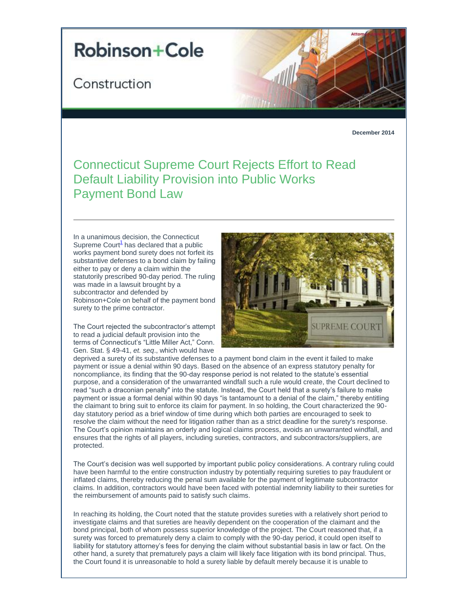## **Robinson+Cole**

## Construction



**December 2014**

## Connecticut Supreme Court Rejects Effort to Read Default Liability Provision into Public Works Payment Bond Law

In a unanimous decision, the Connecticut Supreme Cour[t](#page-1-0)<sup>1</sup> has declared that a public works payment bond surety does not forfeit its substantive defenses to a bond claim by failing either to pay or deny a claim within the statutorily prescribed 90-day period. The ruling was made in a lawsuit brought by a subcontractor and defended by Robinson+Cole on behalf of the payment bond surety to the prime contractor.

The Court rejected the subcontractor's attempt to read a judicial default provision into the terms of Connecticut's "Little Miller Act," Conn. Gen. Stat. § 49-41, *et. seq*., which would have



deprived a surety of its substantive defenses to a payment bond claim in the event it failed to make payment or issue a denial within 90 days. Based on the absence of an express statutory penalty for noncompliance, its finding that the 90-day response period is not related to the statute's essential purpose, and a consideration of the unwarranted windfall such a rule would create, the Court declined to read "such a draconian penalty" into the statute. Instead, the Court held that a surety's failure to make payment or issue a formal denial within 90 days "is tantamount to a denial of the claim," thereby entitling the claimant to bring suit to enforce its claim for payment. In so holding, the Court characterized the 90 day statutory period as a brief window of time during which both parties are encouraged to seek to resolve the claim without the need for litigation rather than as a strict deadline for the surety's response. The Court's opinion maintains an orderly and logical claims process, avoids an unwarranted windfall, and ensures that the rights of all players, including sureties, contractors, and subcontractors/suppliers, are protected.

The Court's decision was well supported by important public policy considerations. A contrary ruling could have been harmful to the entire construction industry by potentially requiring sureties to pay fraudulent or inflated claims, thereby reducing the penal sum available for the payment of legitimate subcontractor claims. In addition, contractors would have been faced with potential indemnity liability to their sureties for the reimbursement of amounts paid to satisfy such claims.

In reaching its holding, the Court noted that the statute provides sureties with a relatively short period to investigate claims and that sureties are heavily dependent on the cooperation of the claimant and the bond principal, both of whom possess superior knowledge of the project. The Court reasoned that, if a surety was forced to prematurely deny a claim to comply with the 90-day period, it could open itself to liability for statutory attorney's fees for denying the claim without substantial basis in law or fact. On the other hand, a surety that prematurely pays a claim will likely face litigation with its bond principal. Thus, the Court found it is unreasonable to hold a surety liable by default merely because it is unable to